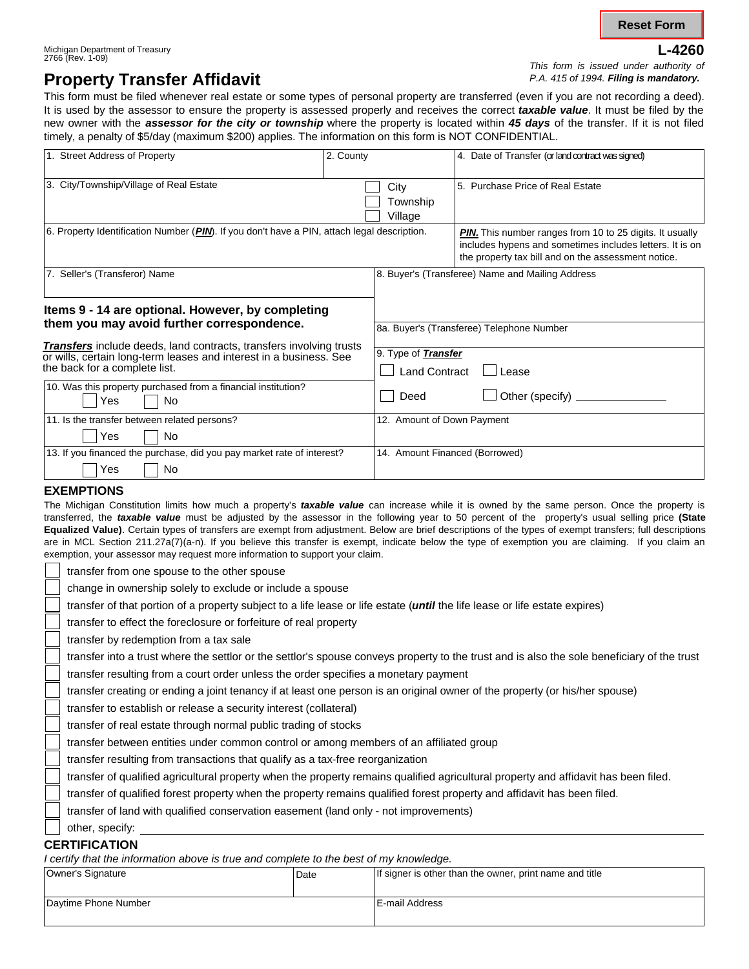**L-4260**

#### Michigan Department of Treasury 2766 (Rev. 1-09)

*This form is issued under authority of P.A. 415 of 1994. Filing is mandatory.*

## **Property Transfer Affidavit**

This form must be filed whenever real estate or some types of personal property are transferred (even if you are not recording a deed). It is used by the assessor to ensure the property is assessed properly and receives the correct *taxable value*. It must be filed by the new owner with the *assessor for the city or township* where the property is located within *45 days* of the transfer. If it is not filed timely, a penalty of \$5/day (maximum \$200) applies. The information on this form is NOT CONFIDENTIAL.

| 1. Street Address of Property                                                                                                                                                     | 2. County                      | 4. Date of Transfer (or land contract was signed)                                                                                                                                  |  |
|-----------------------------------------------------------------------------------------------------------------------------------------------------------------------------------|--------------------------------|------------------------------------------------------------------------------------------------------------------------------------------------------------------------------------|--|
| 3. City/Township/Village of Real Estate                                                                                                                                           | City<br>Township<br>Village    | 5. Purchase Price of Real Estate                                                                                                                                                   |  |
| 6. Property Identification Number (PIN). If you don't have a PIN, attach legal description.                                                                                       |                                | <b>PIN.</b> This number ranges from 10 to 25 digits. It usually<br>includes hypens and sometimes includes letters. It is on<br>the property tax bill and on the assessment notice. |  |
| 7. Seller's (Transferor) Name                                                                                                                                                     |                                | 8. Buyer's (Transferee) Name and Mailing Address                                                                                                                                   |  |
| Items 9 - 14 are optional. However, by completing                                                                                                                                 |                                |                                                                                                                                                                                    |  |
| them you may avoid further correspondence.                                                                                                                                        |                                | 8a. Buyer's (Transferee) Telephone Number                                                                                                                                          |  |
| <b>Transfers</b> include deeds, land contracts, transfers involving trusts<br>or wills, certain long-term leases and interest in a business. See<br>the back for a complete list. |                                | 9. Type of <b>Transfer</b><br><b>Land Contract</b><br>$\Box$ Lease                                                                                                                 |  |
| 10. Was this property purchased from a financial institution?<br><b>No</b><br>Yes                                                                                                 | Deed                           | $\Box$ Other (specify) $\Box$                                                                                                                                                      |  |
| 11. Is the transfer between related persons?                                                                                                                                      |                                | 12. Amount of Down Payment                                                                                                                                                         |  |
| Yes<br><b>No</b><br>13. If you financed the purchase, did you pay market rate of interest?                                                                                        | 14. Amount Financed (Borrowed) |                                                                                                                                                                                    |  |
| No<br>Yes                                                                                                                                                                         |                                |                                                                                                                                                                                    |  |

#### **EXEMPTIONS**

The Michigan Constitution limits how much a property's *taxable value* can increase while it is owned by the same person. Once the property is transferred, the *taxable value* must be adjusted by the assessor in the following year to 50 percent of the property's usual selling price **(State Equalized Value)**. Certain types of transfers are exempt from adjustment. Below are brief descriptions of the types of exempt transfers; full descriptions are in MCL Section 211.27a(7)(a-n). If you believe this transfer is exempt, indicate below the type of exemption you are claiming. If you claim an exemption, your assessor may request more information to support your claim.

transfer from one spouse to the other spouse

change in ownership solely to exclude or include a spouse

transfer of that portion of a property subject to a life lease or life estate (*until* the life lease or life estate expires)

transfer to effect the foreclosure or forfeiture of real property

transfer by redemption from a tax sale

transfer into a trust where the settlor or the settlor's spouse conveys property to the trust and is also the sole beneficiary of the trust

transfer resulting from a court order unless the order specifies a monetary payment

transfer creating or ending a joint tenancy if at least one person is an original owner of the property (or his/her spouse)

transfer to establish or release a security interest (collateral)

transfer of real estate through normal public trading of stocks

transfer between entities under common control or among members of an affiliated group

transfer resulting from transactions that qualify as a tax-free reorganization

transfer of qualified agricultural property when the property remains qualified agricultural property and affidavit has been filed.

transfer of qualified forest property when the property remains qualified forest property and affidavit has been filed.

transfer of land with qualified conservation easement (land only - not improvements)

#### other, specify:

**CERTIFICATION**

*I certify that the information above is true and complete to the best of my knowledge.*

| Date | If signer is other than the owner, print name and title |
|------|---------------------------------------------------------|
|      |                                                         |
|      | E-mail Address                                          |
|      |                                                         |